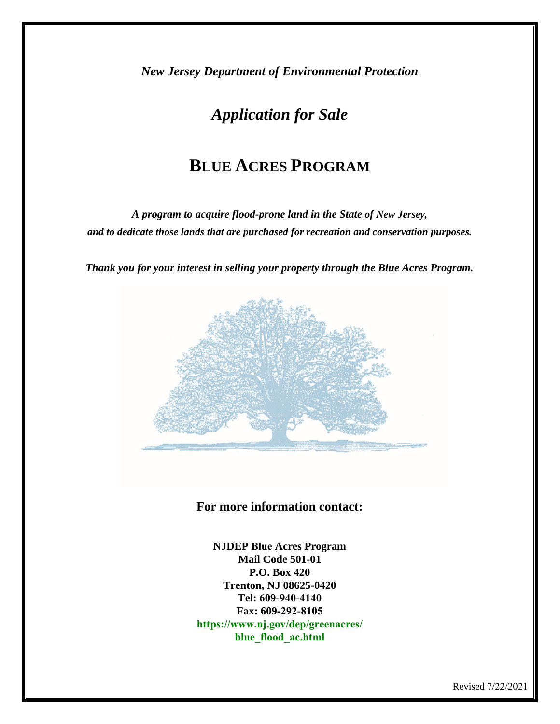*New Jersey Department of Environmental Protection*

## *Application for Sale*

## **BLUE ACRES PROGRAM**

*A program to acquire flood-prone land in the State of New Jersey, and to dedicate those lands that are purchased for recreation and conservation purposes.* 

*Thank you for your interest in selling your property through the Blue Acres Program.* 



## **For more information contact:**

**NJDEP Blue Acres Program Mail Code 501-01 P.O. Box 420 [Trenton, NJ 08625-0420](http://www.nj.gov/dep/greenacres)  Tel: 609-940-4140 Fax: 609-292-8105 https://www.nj.gov/dep/greenacres/ blue\_flood\_ac.html**

Revised 7/22/2021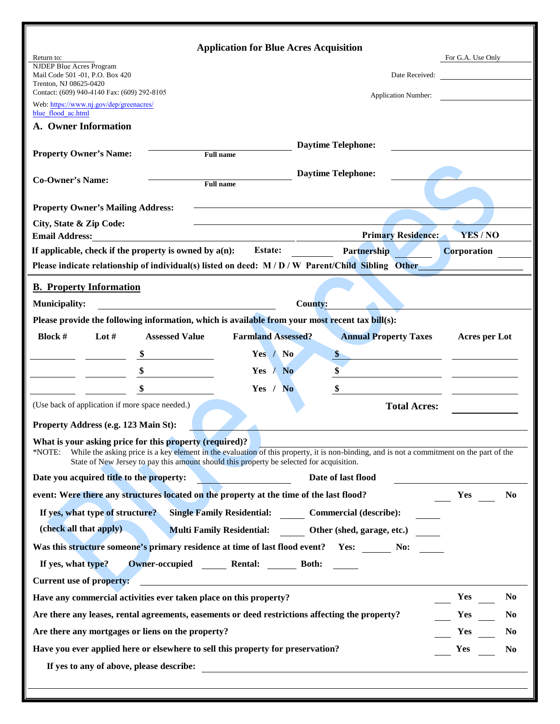| <b>Application for Blue Acres Acquisition</b>                                                                                                                                                                                                                                                              |                                                                                   |                              |                       |  |  |  |  |
|------------------------------------------------------------------------------------------------------------------------------------------------------------------------------------------------------------------------------------------------------------------------------------------------------------|-----------------------------------------------------------------------------------|------------------------------|-----------------------|--|--|--|--|
| Return to:<br><b>NJDEP Blue Acres Program</b>                                                                                                                                                                                                                                                              |                                                                                   |                              | For G.A. Use Only     |  |  |  |  |
| Mail Code 501 -01, P.O. Box 420<br>Trenton, NJ 08625-0420                                                                                                                                                                                                                                                  |                                                                                   | Date Received:               |                       |  |  |  |  |
| Contact: (609) 940-4140 Fax: (609) 292-8105                                                                                                                                                                                                                                                                |                                                                                   | <b>Application Number:</b>   |                       |  |  |  |  |
| Web: https://www.nj.gov/dep/greenacres/<br>blue flood ac.html                                                                                                                                                                                                                                              |                                                                                   |                              |                       |  |  |  |  |
| <b>A. Owner Information</b>                                                                                                                                                                                                                                                                                |                                                                                   |                              |                       |  |  |  |  |
|                                                                                                                                                                                                                                                                                                            |                                                                                   | <b>Daytime Telephone:</b>    |                       |  |  |  |  |
| <b>Property Owner's Name:</b>                                                                                                                                                                                                                                                                              | <b>Full name</b>                                                                  |                              |                       |  |  |  |  |
|                                                                                                                                                                                                                                                                                                            |                                                                                   | <b>Daytime Telephone:</b>    |                       |  |  |  |  |
| <b>Co-Owner's Name:</b>                                                                                                                                                                                                                                                                                    | <b>Full name</b>                                                                  |                              |                       |  |  |  |  |
| <b>Property Owner's Mailing Address:</b>                                                                                                                                                                                                                                                                   |                                                                                   |                              |                       |  |  |  |  |
| City, State & Zip Code:                                                                                                                                                                                                                                                                                    |                                                                                   |                              |                       |  |  |  |  |
| <b>Email Address:</b>                                                                                                                                                                                                                                                                                      |                                                                                   | <b>Primary Residence:</b>    | YES / NO              |  |  |  |  |
| If applicable, check if the property is owned by $a(n)$ : Estate:                                                                                                                                                                                                                                          |                                                                                   | Partnership                  | <b>Corporation</b>    |  |  |  |  |
| Please indicate relationship of individual(s) listed on deed: M / D / W Parent/Child Sibling Other                                                                                                                                                                                                         |                                                                                   |                              |                       |  |  |  |  |
| <b>B.</b> Property Information                                                                                                                                                                                                                                                                             |                                                                                   |                              |                       |  |  |  |  |
| <b>Municipality:</b>                                                                                                                                                                                                                                                                                       |                                                                                   | <b>County:</b>               |                       |  |  |  |  |
| Please provide the following information, which is available from your most recent tax bill(s):                                                                                                                                                                                                            |                                                                                   |                              |                       |  |  |  |  |
| <b>Block #</b><br>Lot $#$                                                                                                                                                                                                                                                                                  | <b>Assessed Value</b><br><b>Farmland Assessed?</b>                                | <b>Annual Property Taxes</b> | Acres per Lot         |  |  |  |  |
|                                                                                                                                                                                                                                                                                                            | Yes / $No$                                                                        | $\mathbf{S}$                 |                       |  |  |  |  |
|                                                                                                                                                                                                                                                                                                            | Yes $/$ No                                                                        |                              |                       |  |  |  |  |
|                                                                                                                                                                                                                                                                                                            | Yes / $No$                                                                        | \$                           |                       |  |  |  |  |
| (Use back of application if more space needed.)                                                                                                                                                                                                                                                            |                                                                                   | <b>Total Acres:</b>          |                       |  |  |  |  |
|                                                                                                                                                                                                                                                                                                            |                                                                                   |                              |                       |  |  |  |  |
| Property Address (e.g. 123 Main St):                                                                                                                                                                                                                                                                       |                                                                                   |                              |                       |  |  |  |  |
| What is your asking price for this property (required)?<br>While the asking price is a key element in the evaluation of this property, it is non-binding, and is not a commitment on the part of the<br>*NOTE:<br>State of New Jersey to pay this amount should this property be selected for acquisition. |                                                                                   |                              |                       |  |  |  |  |
|                                                                                                                                                                                                                                                                                                            |                                                                                   | Date of last flood           |                       |  |  |  |  |
| Date you acquired title to the property:                                                                                                                                                                                                                                                                   |                                                                                   |                              |                       |  |  |  |  |
| event: Were there any structures located on the property at the time of the last flood?                                                                                                                                                                                                                    |                                                                                   |                              | Yes<br>N <sub>0</sub> |  |  |  |  |
|                                                                                                                                                                                                                                                                                                            | If yes, what type of structure? Single Family Residential: Commercial (describe): |                              |                       |  |  |  |  |
| (check all that apply)<br>Multi Family Residential: Other (shed, garage, etc.)                                                                                                                                                                                                                             |                                                                                   |                              |                       |  |  |  |  |
| Was this structure someone's primary residence at time of last flood event? Yes: No: No:                                                                                                                                                                                                                   |                                                                                   |                              |                       |  |  |  |  |
| If yes, what type?                                                                                                                                                                                                                                                                                         | <b>Owner-occupied</b> Rental: Both:                                               |                              |                       |  |  |  |  |
| Current use of property:                                                                                                                                                                                                                                                                                   |                                                                                   |                              |                       |  |  |  |  |
| Have any commercial activities ever taken place on this property?                                                                                                                                                                                                                                          |                                                                                   |                              | Yes<br>N <sub>0</sub> |  |  |  |  |
| Are there any leases, rental agreements, easements or deed restrictions affecting the property?                                                                                                                                                                                                            |                                                                                   |                              | Yes<br>N <sub>0</sub> |  |  |  |  |
| Are there any mortgages or liens on the property?                                                                                                                                                                                                                                                          |                                                                                   |                              | Yes<br>N <sub>0</sub> |  |  |  |  |
| Have you ever applied here or elsewhere to sell this property for preservation?                                                                                                                                                                                                                            |                                                                                   |                              | Yes<br>N <sub>0</sub> |  |  |  |  |
|                                                                                                                                                                                                                                                                                                            |                                                                                   |                              |                       |  |  |  |  |
|                                                                                                                                                                                                                                                                                                            |                                                                                   |                              |                       |  |  |  |  |
|                                                                                                                                                                                                                                                                                                            |                                                                                   |                              |                       |  |  |  |  |